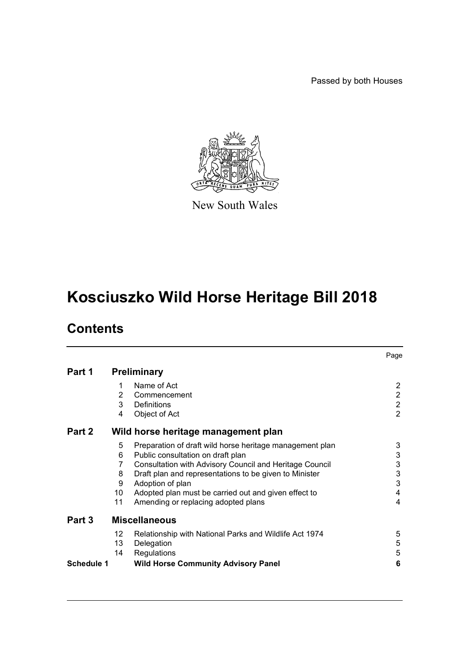Passed by both Houses



New South Wales

# **Kosciuszko Wild Horse Heritage Bill 2018**

## **Contents**

|                   |                                     |                                                          | Page           |
|-------------------|-------------------------------------|----------------------------------------------------------|----------------|
| Part 1            | <b>Preliminary</b>                  |                                                          |                |
|                   | 1                                   | Name of Act                                              | 2              |
|                   | 2                                   | Commencement                                             | $\overline{2}$ |
|                   | 3                                   | Definitions                                              | $\overline{2}$ |
|                   | 4                                   | Object of Act                                            | $\overline{2}$ |
| Part 2            | Wild horse heritage management plan |                                                          |                |
|                   | 5                                   | Preparation of draft wild horse heritage management plan | 3              |
|                   | 6                                   | Public consultation on draft plan                        | 3              |
|                   | 7                                   | Consultation with Advisory Council and Heritage Council  | 3              |
|                   | 8                                   | Draft plan and representations to be given to Minister   | 3              |
|                   | 9                                   | Adoption of plan                                         | 3              |
|                   | 10                                  | Adopted plan must be carried out and given effect to     | 4              |
|                   | 11                                  | Amending or replacing adopted plans                      | 4              |
| Part 3            |                                     | <b>Miscellaneous</b>                                     |                |
|                   | 12                                  | Relationship with National Parks and Wildlife Act 1974   | 5              |
|                   | 13                                  | Delegation                                               | 5              |
|                   | 14                                  | Regulations                                              | 5              |
| <b>Schedule 1</b> |                                     | <b>Wild Horse Community Advisory Panel</b>               | 6              |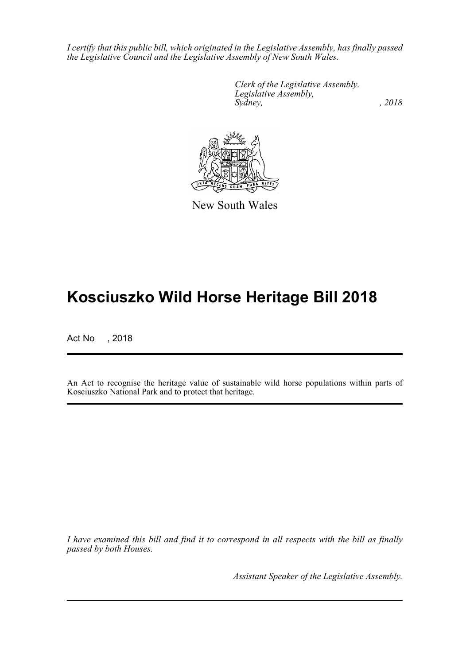*I certify that this public bill, which originated in the Legislative Assembly, has finally passed the Legislative Council and the Legislative Assembly of New South Wales.*

> *Clerk of the Legislative Assembly. Legislative Assembly, Sydney, , 2018*



New South Wales

## **Kosciuszko Wild Horse Heritage Bill 2018**

Act No , 2018

An Act to recognise the heritage value of sustainable wild horse populations within parts of Kosciuszko National Park and to protect that heritage.

*I have examined this bill and find it to correspond in all respects with the bill as finally passed by both Houses.*

*Assistant Speaker of the Legislative Assembly.*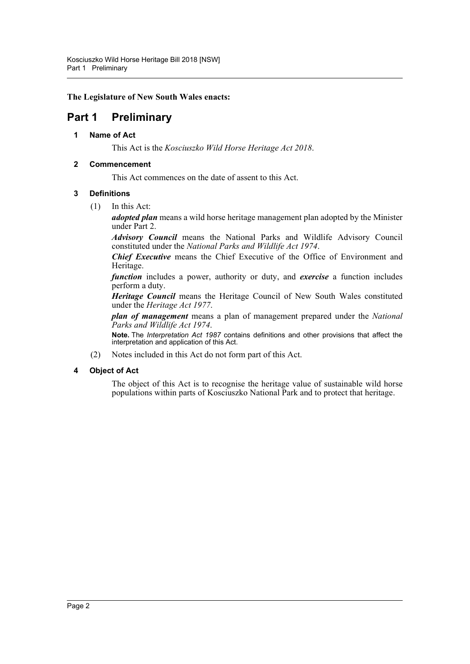**The Legislature of New South Wales enacts:**

### <span id="page-2-1"></span><span id="page-2-0"></span>**Part 1 Preliminary**

**1 Name of Act**

This Act is the *Kosciuszko Wild Horse Heritage Act 2018*.

### <span id="page-2-2"></span>**2 Commencement**

This Act commences on the date of assent to this Act.

### <span id="page-2-3"></span>**3 Definitions**

(1) In this Act:

*adopted plan* means a wild horse heritage management plan adopted by the Minister under Part 2.

*Advisory Council* means the National Parks and Wildlife Advisory Council constituted under the *National Parks and Wildlife Act 1974*.

*Chief Executive* means the Chief Executive of the Office of Environment and Heritage.

*function* includes a power, authority or duty, and *exercise* a function includes perform a duty.

*Heritage Council* means the Heritage Council of New South Wales constituted under the *Heritage Act 1977*.

*plan of management* means a plan of management prepared under the *National Parks and Wildlife Act 1974*.

**Note.** The *Interpretation Act 1987* contains definitions and other provisions that affect the interpretation and application of this Act.

(2) Notes included in this Act do not form part of this Act.

### <span id="page-2-4"></span>**4 Object of Act**

The object of this Act is to recognise the heritage value of sustainable wild horse populations within parts of Kosciuszko National Park and to protect that heritage.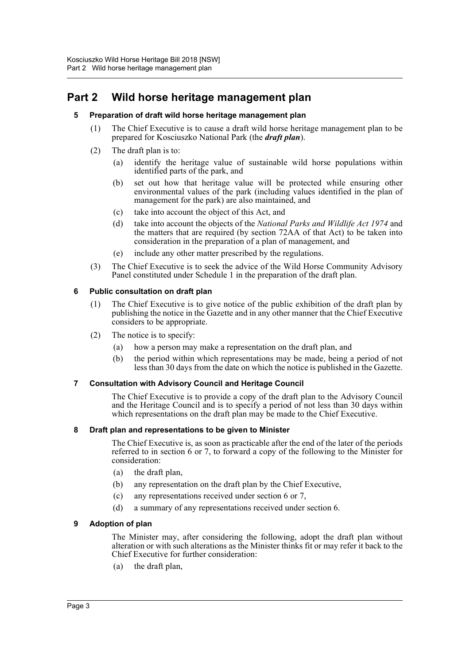### <span id="page-3-1"></span><span id="page-3-0"></span>**Part 2 Wild horse heritage management plan**

### **5 Preparation of draft wild horse heritage management plan**

- (1) The Chief Executive is to cause a draft wild horse heritage management plan to be prepared for Kosciuszko National Park (the *draft plan*).
- (2) The draft plan is to:
	- (a) identify the heritage value of sustainable wild horse populations within identified parts of the park, and
	- (b) set out how that heritage value will be protected while ensuring other environmental values of the park (including values identified in the plan of management for the park) are also maintained, and
	- (c) take into account the object of this Act, and
	- (d) take into account the objects of the *National Parks and Wildlife Act 1974* and the matters that are required (by section 72AA of that Act) to be taken into consideration in the preparation of a plan of management, and
	- (e) include any other matter prescribed by the regulations.
- (3) The Chief Executive is to seek the advice of the Wild Horse Community Advisory Panel constituted under Schedule 1 in the preparation of the draft plan.

### <span id="page-3-2"></span>**6 Public consultation on draft plan**

- (1) The Chief Executive is to give notice of the public exhibition of the draft plan by publishing the notice in the Gazette and in any other manner that the Chief Executive considers to be appropriate.
- (2) The notice is to specify:
	- (a) how a person may make a representation on the draft plan, and
	- (b) the period within which representations may be made, being a period of not less than 30 days from the date on which the notice is published in the Gazette.

### <span id="page-3-3"></span>**7 Consultation with Advisory Council and Heritage Council**

The Chief Executive is to provide a copy of the draft plan to the Advisory Council and the Heritage Council and is to specify a period of not less than 30 days within which representations on the draft plan may be made to the Chief Executive.

### <span id="page-3-4"></span>**8 Draft plan and representations to be given to Minister**

The Chief Executive is, as soon as practicable after the end of the later of the periods referred to in section 6 or 7, to forward a copy of the following to the Minister for consideration:

- (a) the draft plan,
- (b) any representation on the draft plan by the Chief Executive,
- (c) any representations received under section 6 or 7,
- (d) a summary of any representations received under section 6.

### <span id="page-3-5"></span>**9 Adoption of plan**

The Minister may, after considering the following, adopt the draft plan without alteration or with such alterations as the Minister thinks fit or may refer it back to the Chief Executive for further consideration:

(a) the draft plan,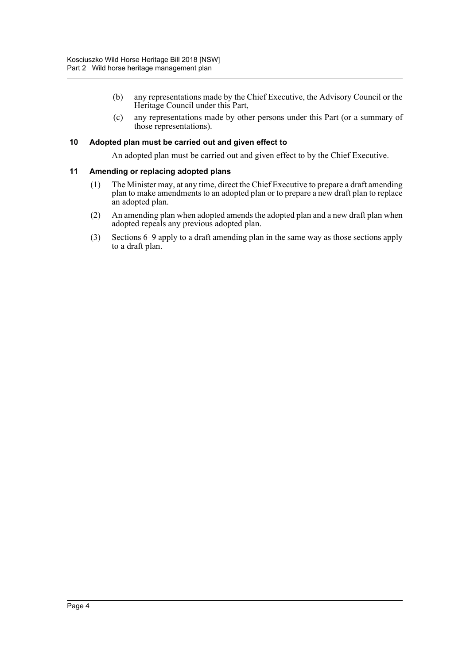- (b) any representations made by the Chief Executive, the Advisory Council or the Heritage Council under this Part,
- (c) any representations made by other persons under this Part (or a summary of those representations).

#### <span id="page-4-0"></span>**10 Adopted plan must be carried out and given effect to**

An adopted plan must be carried out and given effect to by the Chief Executive.

### <span id="page-4-1"></span>**11 Amending or replacing adopted plans**

- (1) The Minister may, at any time, direct the Chief Executive to prepare a draft amending plan to make amendments to an adopted plan or to prepare a new draft plan to replace an adopted plan.
- (2) An amending plan when adopted amends the adopted plan and a new draft plan when adopted repeals any previous adopted plan.
- (3) Sections 6–9 apply to a draft amending plan in the same way as those sections apply to a draft plan.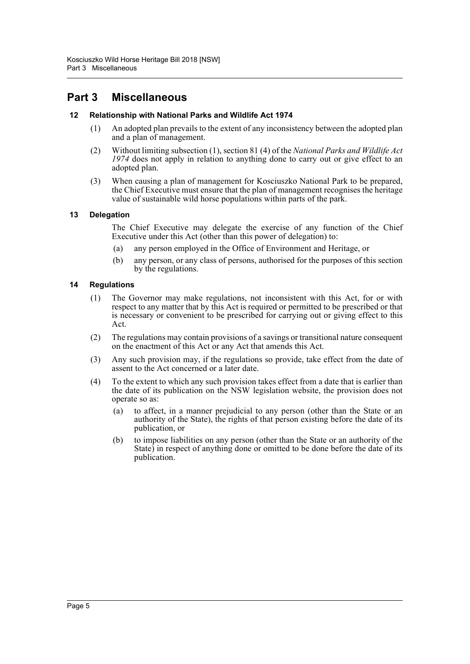### <span id="page-5-0"></span>**Part 3 Miscellaneous**

### <span id="page-5-1"></span>**12 Relationship with National Parks and Wildlife Act 1974**

- (1) An adopted plan prevails to the extent of any inconsistency between the adopted plan and a plan of management.
- (2) Without limiting subsection (1), section 81 (4) of the *National Parks and Wildlife Act 1974* does not apply in relation to anything done to carry out or give effect to an adopted plan.
- (3) When causing a plan of management for Kosciuszko National Park to be prepared, the Chief Executive must ensure that the plan of management recognises the heritage value of sustainable wild horse populations within parts of the park.

### <span id="page-5-2"></span>**13 Delegation**

The Chief Executive may delegate the exercise of any function of the Chief Executive under this Act (other than this power of delegation) to:

- (a) any person employed in the Office of Environment and Heritage, or
- (b) any person, or any class of persons, authorised for the purposes of this section by the regulations.

### <span id="page-5-3"></span>**14 Regulations**

- (1) The Governor may make regulations, not inconsistent with this Act, for or with respect to any matter that by this Act is required or permitted to be prescribed or that is necessary or convenient to be prescribed for carrying out or giving effect to this Act.
- (2) The regulations may contain provisions of a savings or transitional nature consequent on the enactment of this Act or any Act that amends this Act.
- (3) Any such provision may, if the regulations so provide, take effect from the date of assent to the Act concerned or a later date.
- (4) To the extent to which any such provision takes effect from a date that is earlier than the date of its publication on the NSW legislation website, the provision does not operate so as:
	- (a) to affect, in a manner prejudicial to any person (other than the State or an authority of the State), the rights of that person existing before the date of its publication, or
	- (b) to impose liabilities on any person (other than the State or an authority of the State) in respect of anything done or omitted to be done before the date of its publication.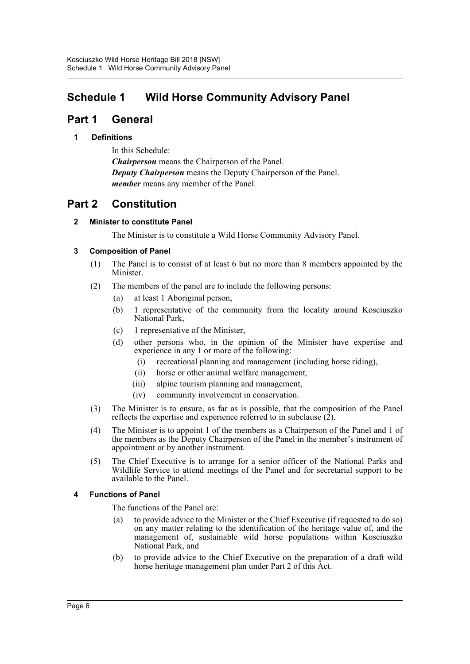### <span id="page-6-0"></span>**Schedule 1 Wild Horse Community Advisory Panel**

### **Part 1 General**

### **1 Definitions**

In this Schedule:

*Chairperson* means the Chairperson of the Panel. *Deputy Chairperson* means the Deputy Chairperson of the Panel. *member* means any member of the Panel.

### **Part 2 Constitution**

### **2 Minister to constitute Panel**

The Minister is to constitute a Wild Horse Community Advisory Panel.

### **3 Composition of Panel**

- (1) The Panel is to consist of at least 6 but no more than 8 members appointed by the Minister.
- (2) The members of the panel are to include the following persons:
	- (a) at least 1 Aboriginal person,
	- (b) 1 representative of the community from the locality around Kosciuszko National Park,
	- (c) 1 representative of the Minister,
	- (d) other persons who, in the opinion of the Minister have expertise and experience in any 1 or more of the following:
		- (i) recreational planning and management (including horse riding),
		- (ii) horse or other animal welfare management,
		- (iii) alpine tourism planning and management,
		- (iv) community involvement in conservation.
- (3) The Minister is to ensure, as far as is possible, that the composition of the Panel reflects the expertise and experience referred to in subclause  $(2)$ .
- (4) The Minister is to appoint 1 of the members as a Chairperson of the Panel and 1 of the members as the Deputy Chairperson of the Panel in the member's instrument of appointment or by another instrument.
- (5) The Chief Executive is to arrange for a senior officer of the National Parks and Wildlife Service to attend meetings of the Panel and for secretarial support to be available to the Panel.

### **4 Functions of Panel**

The functions of the Panel are:

- (a) to provide advice to the Minister or the Chief Executive (if requested to do so) on any matter relating to the identification of the heritage value of, and the management of, sustainable wild horse populations within Kosciuszko National Park, and
- (b) to provide advice to the Chief Executive on the preparation of a draft wild horse heritage management plan under Part 2 of this Act.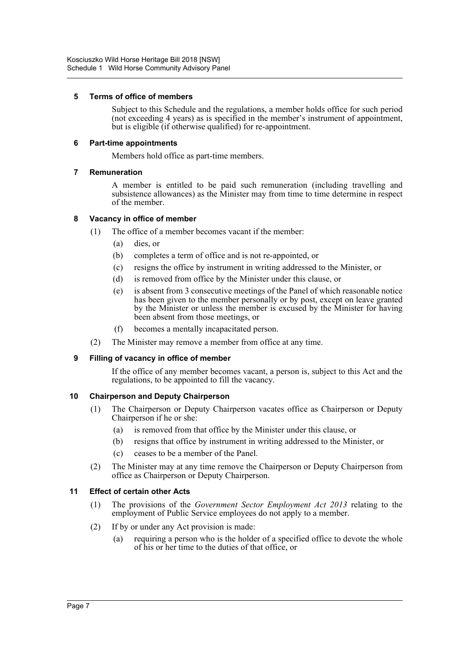### **5 Terms of office of members**

Subject to this Schedule and the regulations, a member holds office for such period (not exceeding 4 years) as is specified in the member's instrument of appointment, but is eligible (if otherwise qualified) for re-appointment.

### **6 Part-time appointments**

Members hold office as part-time members.

### **7 Remuneration**

A member is entitled to be paid such remuneration (including travelling and subsistence allowances) as the Minister may from time to time determine in respect of the member.

### **8 Vacancy in office of member**

- (1) The office of a member becomes vacant if the member:
	- (a) dies, or
	- (b) completes a term of office and is not re-appointed, or
	- (c) resigns the office by instrument in writing addressed to the Minister, or
	- (d) is removed from office by the Minister under this clause, or
	- (e) is absent from 3 consecutive meetings of the Panel of which reasonable notice has been given to the member personally or by post, except on leave granted by the Minister or unless the member is excused by the Minister for having been absent from those meetings, or
	- (f) becomes a mentally incapacitated person.
- (2) The Minister may remove a member from office at any time.

### **9 Filling of vacancy in office of member**

If the office of any member becomes vacant, a person is, subject to this Act and the regulations, to be appointed to fill the vacancy.

### **10 Chairperson and Deputy Chairperson**

- (1) The Chairperson or Deputy Chairperson vacates office as Chairperson or Deputy Chairperson if he or she:
	- (a) is removed from that office by the Minister under this clause, or
	- (b) resigns that office by instrument in writing addressed to the Minister, or
	- (c) ceases to be a member of the Panel.
- (2) The Minister may at any time remove the Chairperson or Deputy Chairperson from office as Chairperson or Deputy Chairperson.

### **11 Effect of certain other Acts**

- (1) The provisions of the *Government Sector Employment Act 2013* relating to the employment of Public Service employees do not apply to a member.
- (2) If by or under any Act provision is made:
	- (a) requiring a person who is the holder of a specified office to devote the whole of his or her time to the duties of that office, or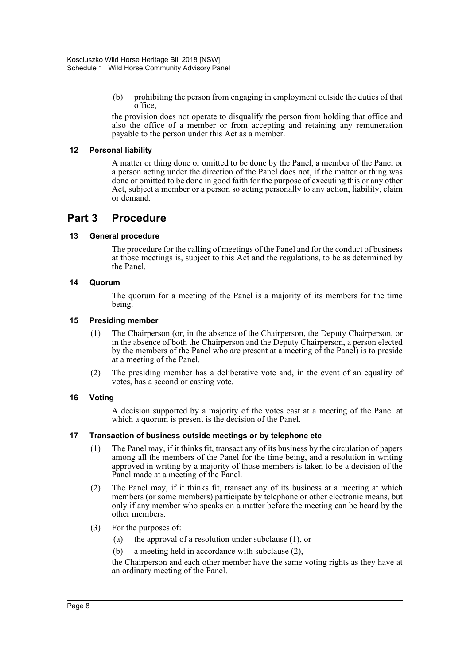(b) prohibiting the person from engaging in employment outside the duties of that office,

the provision does not operate to disqualify the person from holding that office and also the office of a member or from accepting and retaining any remuneration payable to the person under this Act as a member.

### **12 Personal liability**

A matter or thing done or omitted to be done by the Panel, a member of the Panel or a person acting under the direction of the Panel does not, if the matter or thing was done or omitted to be done in good faith for the purpose of executing this or any other Act, subject a member or a person so acting personally to any action, liability, claim or demand.

### **Part 3 Procedure**

### **13 General procedure**

The procedure for the calling of meetings of the Panel and for the conduct of business at those meetings is, subject to this Act and the regulations, to be as determined by the Panel.

### **14 Quorum**

The quorum for a meeting of the Panel is a majority of its members for the time being.

### **15 Presiding member**

- (1) The Chairperson (or, in the absence of the Chairperson, the Deputy Chairperson, or in the absence of both the Chairperson and the Deputy Chairperson, a person elected by the members of the Panel who are present at a meeting of the Panel) is to preside at a meeting of the Panel.
- (2) The presiding member has a deliberative vote and, in the event of an equality of votes, has a second or casting vote.

### **16 Voting**

A decision supported by a majority of the votes cast at a meeting of the Panel at which a quorum is present is the decision of the Panel.

### **17 Transaction of business outside meetings or by telephone etc**

- (1) The Panel may, if it thinks fit, transact any of its business by the circulation of papers among all the members of the Panel for the time being, and a resolution in writing approved in writing by a majority of those members is taken to be a decision of the Panel made at a meeting of the Panel.
- (2) The Panel may, if it thinks fit, transact any of its business at a meeting at which members (or some members) participate by telephone or other electronic means, but only if any member who speaks on a matter before the meeting can be heard by the other members.
- (3) For the purposes of:
	- (a) the approval of a resolution under subclause (1), or
	- (b) a meeting held in accordance with subclause (2),

the Chairperson and each other member have the same voting rights as they have at an ordinary meeting of the Panel.